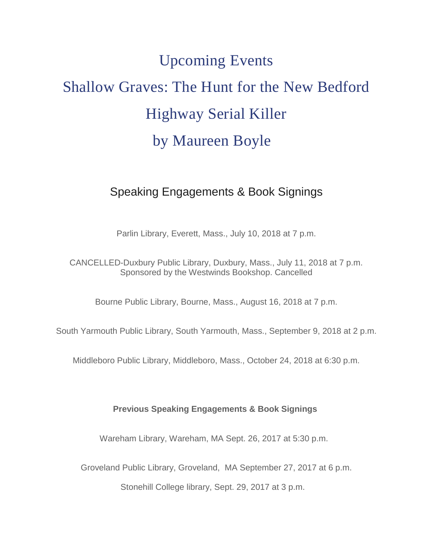## Upcoming Events Shallow Graves: The Hunt for the New Bedford Highway Serial Killer by Maureen Boyle

## Speaking Engagements & Book Signings

Parlin Library, Everett, Mass., July 10, 2018 at 7 p.m.

CANCELLED-Duxbury Public Library, Duxbury, Mass., July 11, 2018 at 7 p.m. Sponsored by the Westwinds Bookshop. Cancelled

Bourne Public Library, Bourne, Mass., August 16, 2018 at 7 p.m.

South Yarmouth Public Library, South Yarmouth, Mass., September 9, 2018 at 2 p.m.

Middleboro Public Library, Middleboro, Mass., October 24, 2018 at 6:30 p.m.

## **Previous Speaking Engagements & Book Signings**

Wareham Library, Wareham, MA Sept. 26, 2017 at 5:30 p.m.

Groveland Public Library, Groveland, MA September 27, 2017 at 6 p.m.

Stonehill College library, Sept. 29, 2017 at 3 p.m.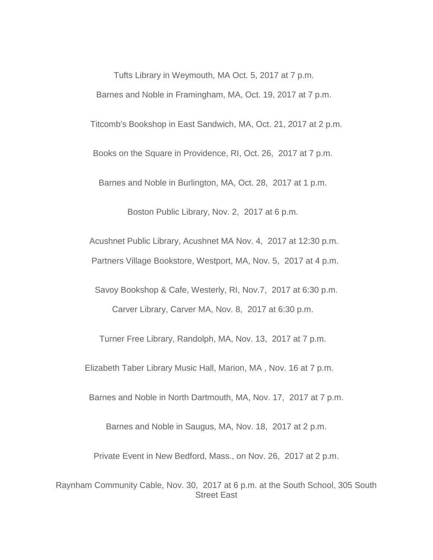Tufts Library in Weymouth, MA Oct. 5, 2017 at 7 p.m. Barnes and Noble in Framingham, MA, Oct. 19, 2017 at 7 p.m. Titcomb's Bookshop in East Sandwich, MA, Oct. 21, 2017 at 2 p.m. Books on the Square in Providence, RI, Oct. 26, 2017 at 7 p.m. Barnes and Noble in Burlington, MA, Oct. 28, 2017 at 1 p.m.

Boston Public Library, Nov. 2, 2017 at 6 p.m.

Acushnet Public Library, Acushnet MA Nov. 4, 2017 at 12:30 p.m. Partners Village Bookstore, Westport, MA, Nov. 5, 2017 at 4 p.m.

Savoy Bookshop & Cafe, Westerly, RI, Nov.7, 2017 at 6:30 p.m. Carver Library, Carver MA, Nov. 8, 2017 at 6:30 p.m.

Turner Free Library, Randolph, MA, Nov. 13, 2017 at 7 p.m.

Elizabeth Taber Library Music Hall, Marion, MA , Nov. 16 at 7 p.m.

Barnes and Noble in North Dartmouth, MA, Nov. 17, 2017 at 7 p.m.

Barnes and Noble in Saugus, MA, Nov. 18, 2017 at 2 p.m.

Private Event in New Bedford, Mass., on Nov. 26, 2017 at 2 p.m.

Raynham Community Cable, Nov. 30, 2017 at 6 p.m. at the South School, 305 South Street East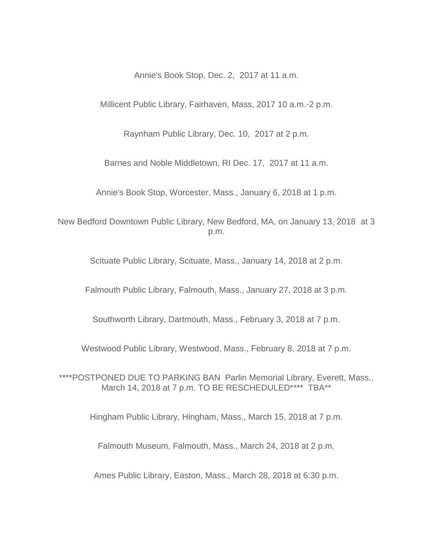Annie's Book Stop, Dec. 2, 2017 at 11 a.m.

Millicent Public Library, Fairhaven, Mass, 2017 10 a.m.-2 p.m.

Raynham Public Library, Dec. 10, 2017 at 2 p.m.

Barnes and Noble Middletown, RI Dec. 17, 2017 at 11 a.m.

Annie's Book Stop, Worcester, Mass., January 6, 2018 at 1 p.m.

New Bedford Downtown Public Library, New Bedford, MA, on January 13, 2018 at 3 p.m.

Scituate Public Library, Scituate, Mass., January 14, 2018 at 2 p.m.

Falmouth Public Library, Falmouth, Mass., January 27, 2018 at 3 p.m.

Southworth Library, Dartmouth, Mass., February 3, 2018 at 7 p.m.

Westwood Public Library, Westwood, Mass., February 8, 2018 at 7 p.m.

\*\*\*\*POSTPONED DUE TO PARKING BAN Parlin Memorial Library, Everett, Mass., March 14, 2018 at 7 p.m. TO BE RESCHEDULED\*\*\*\* TBA\*\*

Hingham Public Library, Hingham, Mass., March 15, 2018 at 7 p.m.

Falmouth Museum, Falmouth, Mass., March 24, 2018 at 2 p.m.

Ames Public Library, Easton, Mass., March 28, 2018 at 6:30 p.m.